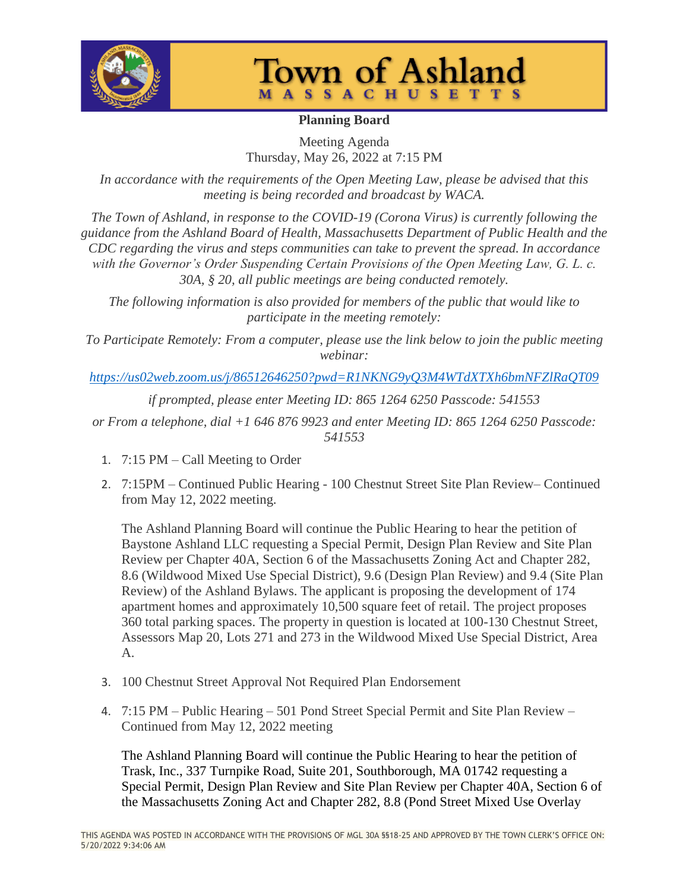



## **Planning Board**

Meeting Agenda Thursday, May 26, 2022 at 7:15 PM

*In accordance with the requirements of the Open Meeting Law, please be advised that this meeting is being recorded and broadcast by WACA.*

*The Town of Ashland, in response to the COVID-19 (Corona Virus) is currently following the guidance from the Ashland Board of Health, Massachusetts Department of Public Health and the CDC regarding the virus and steps communities can take to prevent the spread. In accordance*  with the Governor's Order Suspending Certain Provisions of the Open Meeting Law, G. L. c. *30A, § 20, all public meetings are being conducted remotely.*

*The following information is also provided for members of the public that would like to participate in the meeting remotely:*

*To Participate Remotely: From a computer, please use the link below to join the public meeting webinar:*

*<https://us02web.zoom.us/j/86512646250?pwd=R1NKNG9yQ3M4WTdXTXh6bmNFZlRaQT09>*

*if prompted, please enter Meeting ID: 865 1264 6250 Passcode: 541553*

*or From a telephone, dial +1 646 876 9923 and enter Meeting ID: 865 1264 6250 Passcode: 541553*

- 1. 7:15 PM Call Meeting to Order
- 2. 7:15PM Continued Public Hearing 100 Chestnut Street Site Plan Review– Continued from May 12, 2022 meeting.

The Ashland Planning Board will continue the Public Hearing to hear the petition of Baystone Ashland LLC requesting a Special Permit, Design Plan Review and Site Plan Review per Chapter 40A, Section 6 of the Massachusetts Zoning Act and Chapter 282, 8.6 (Wildwood Mixed Use Special District), 9.6 (Design Plan Review) and 9.4 (Site Plan Review) of the Ashland Bylaws. The applicant is proposing the development of 174 apartment homes and approximately 10,500 square feet of retail. The project proposes 360 total parking spaces. The property in question is located at 100-130 Chestnut Street, Assessors Map 20, Lots 271 and 273 in the Wildwood Mixed Use Special District, Area A.

- 3. 100 Chestnut Street Approval Not Required Plan Endorsement
- 4. 7:15 PM Public Hearing 501 Pond Street Special Permit and Site Plan Review Continued from May 12, 2022 meeting

The Ashland Planning Board will continue the Public Hearing to hear the petition of Trask, Inc., 337 Turnpike Road, Suite 201, Southborough, MA 01742 requesting a Special Permit, Design Plan Review and Site Plan Review per Chapter 40A, Section 6 of the Massachusetts Zoning Act and Chapter 282, 8.8 (Pond Street Mixed Use Overlay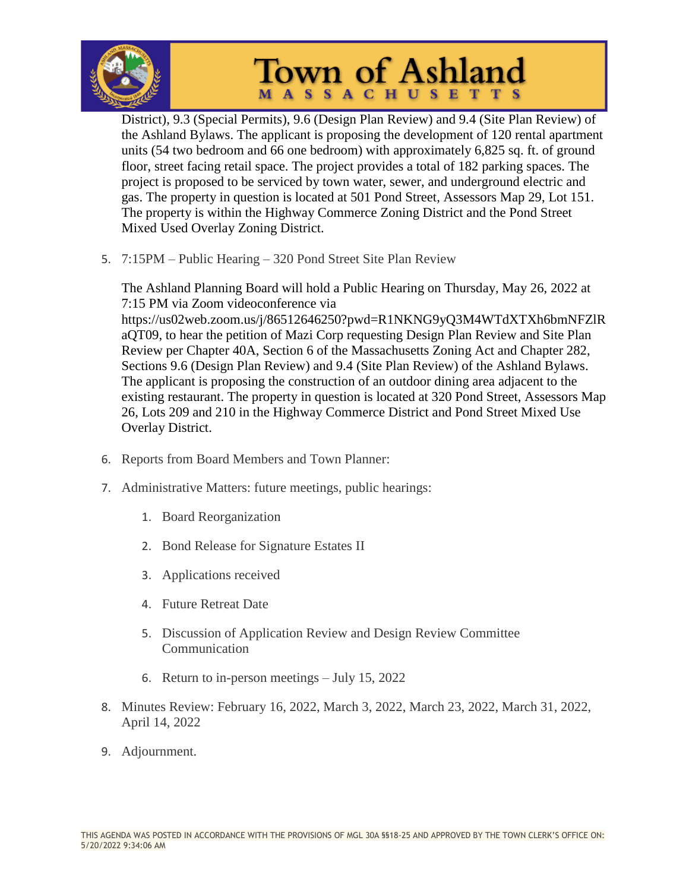

## **Town of Ashland MASSACHUSETTS**

District), 9.3 (Special Permits), 9.6 (Design Plan Review) and 9.4 (Site Plan Review) of the Ashland Bylaws. The applicant is proposing the development of 120 rental apartment units (54 two bedroom and 66 one bedroom) with approximately 6,825 sq. ft. of ground floor, street facing retail space. The project provides a total of 182 parking spaces. The project is proposed to be serviced by town water, sewer, and underground electric and gas. The property in question is located at 501 Pond Street, Assessors Map 29, Lot 151. The property is within the Highway Commerce Zoning District and the Pond Street Mixed Used Overlay Zoning District.

5. 7:15PM – Public Hearing – 320 Pond Street Site Plan Review

The Ashland Planning Board will hold a Public Hearing on Thursday, May 26, 2022 at 7:15 PM via Zoom videoconference via https://us02web.zoom.us/j/86512646250?pwd=R1NKNG9yQ3M4WTdXTXh6bmNFZlR aQT09, to hear the petition of Mazi Corp requesting Design Plan Review and Site Plan Review per Chapter 40A, Section 6 of the Massachusetts Zoning Act and Chapter 282, Sections 9.6 (Design Plan Review) and 9.4 (Site Plan Review) of the Ashland Bylaws. The applicant is proposing the construction of an outdoor dining area adjacent to the existing restaurant. The property in question is located at 320 Pond Street, Assessors Map 26, Lots 209 and 210 in the Highway Commerce District and Pond Street Mixed Use Overlay District.

- 6. Reports from Board Members and Town Planner:
- 7. Administrative Matters: future meetings, public hearings:
	- 1. Board Reorganization
	- 2. Bond Release for Signature Estates II
	- 3. Applications received
	- 4. Future Retreat Date
	- 5. Discussion of Application Review and Design Review Committee Communication
	- 6. Return to in-person meetings July 15, 2022
- 8. Minutes Review: February 16, 2022, March 3, 2022, March 23, 2022, March 31, 2022, April 14, 2022
- 9. Adjournment.